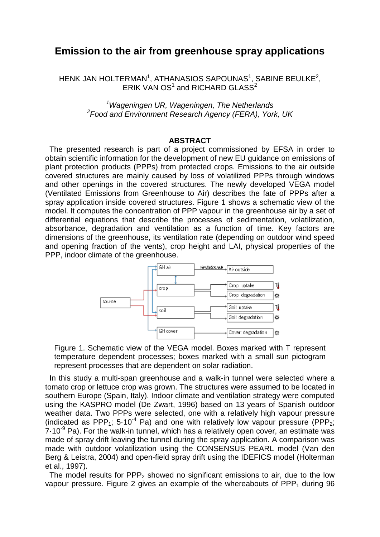## **Emission to the air from greenhouse spray applications**

HENK JAN HOLTERMAN $^{\rm 1}$ , ATHANASIOS SAPOUNAS $^{\rm 1}$ , SABINE BEULKE $^{\rm 2}$ , ERIK VAN OS<sup>1</sup> and RICHARD GLASS<sup>2</sup>

> <sup>1</sup> Wageningen UR, Wageningen, The Netherlands<sup>2</sup><br><sup>2</sup> Food and Environment Pesearch Agency (FERA), You *Food and Environment Research Agency (FERA), York, UK*

## **ABSTRACT**

 The presented research is part of a project commissioned by EFSA in order to obtain scientific information for the development of new EU guidance on emissions of plant protection products (PPPs) from protected crops. Emissions to the air outside covered structures are mainly caused by loss of volatilized PPPs through windows and other openings in the covered structures. The newly developed VEGA model (Ventilated Emissions from Greenhouse to Air) describes the fate of PPPs after a spray application inside covered structures. Figure 1 shows a schematic view of the model. It computes the concentration of PPP vapour in the greenhouse air by a set of differential equations that describe the processes of sedimentation, volatilization, absorbance, degradation and ventilation as a function of time. Key factors are dimensions of the greenhouse, its ventilation rate (depending on outdoor wind speed and opening fraction of the vents), crop height and LAI, physical properties of the PPP, indoor climate of the greenhouse.



Figure 1. Schematic view of the VEGA model. Boxes marked with T represent temperature dependent processes; boxes marked with a small sun pictogram represent processes that are dependent on solar radiation.

 In this study a multi-span greenhouse and a walk-in tunnel were selected where a tomato crop or lettuce crop was grown. The structures were assumed to be located in southern Europe (Spain, Italy). Indoor climate and ventilation strategy were computed using the KASPRO model (De Zwart, 1996) based on 13 years of Spanish outdoor weather data. Two PPPs were selected, one with a relatively high vapour pressure (indicated as PPP<sub>1</sub>; 5.10<sup>-4</sup> Pa) and one with relatively low vapour pressure (PPP<sub>2</sub>;  $7.10<sup>-9</sup>$  Pa). For the walk-in tunnel, which has a relatively open cover, an estimate was made of spray drift leaving the tunnel during the spray application. A comparison was made with outdoor volatilization using the CONSENSUS PEARL model (Van den Berg & Leistra, 2004) and open-field spray drift using the IDEFICS model (Holterman et al., 1997).

The model results for  $PPP_2$  showed no significant emissions to air, due to the low vapour pressure. Figure 2 gives an example of the whereabouts of  $PPP<sub>1</sub>$  during 96